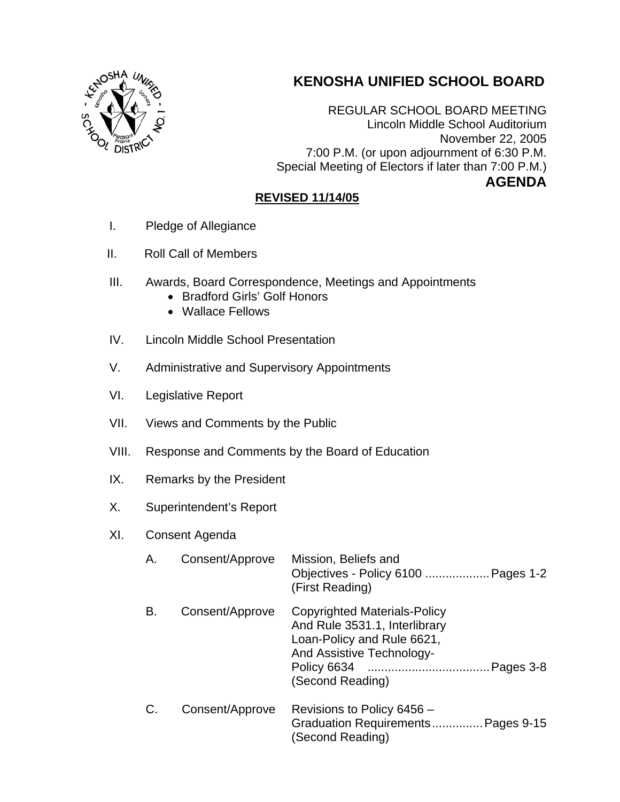## **KENOSHA UNIFIED SCHOOL BOARD**



REGULAR SCHOOL BOARD MEETING Lincoln Middle School Auditorium November 22, 2005 7:00 P.M. (or upon adjournment of 6:30 P.M. Special Meeting of Electors if later than 7:00 P.M.) **AGENDA** 

## **REVISED 11/14/05**

- I. Pledge of Allegiance
- II. Roll Call of Members
- III. Awards, Board Correspondence, Meetings and Appointments
	- Bradford Girls' Golf Honors
	- Wallace Fellows
- IV. Lincoln Middle School Presentation
- V. Administrative and Supervisory Appointments
- VI. Legislative Report
- VII. Views and Comments by the Public
- VIII. Response and Comments by the Board of Education
- IX. Remarks by the President
- X. Superintendent's Report
- XI. Consent Agenda

| Α. | Consent/Approve | Mission, Beliefs and<br>Objectives - Policy 6100  Pages 1-2<br>(First Reading)                                                                             |
|----|-----------------|------------------------------------------------------------------------------------------------------------------------------------------------------------|
| В. | Consent/Approve | <b>Copyrighted Materials-Policy</b><br>And Rule 3531.1, Interlibrary<br>Loan-Policy and Rule 6621,<br><b>And Assistive Technology-</b><br>(Second Reading) |
| C. | Consent/Approve | Revisions to Policy 6456 -<br>Graduation Requirements Pages 9-15<br>(Second Reading)                                                                       |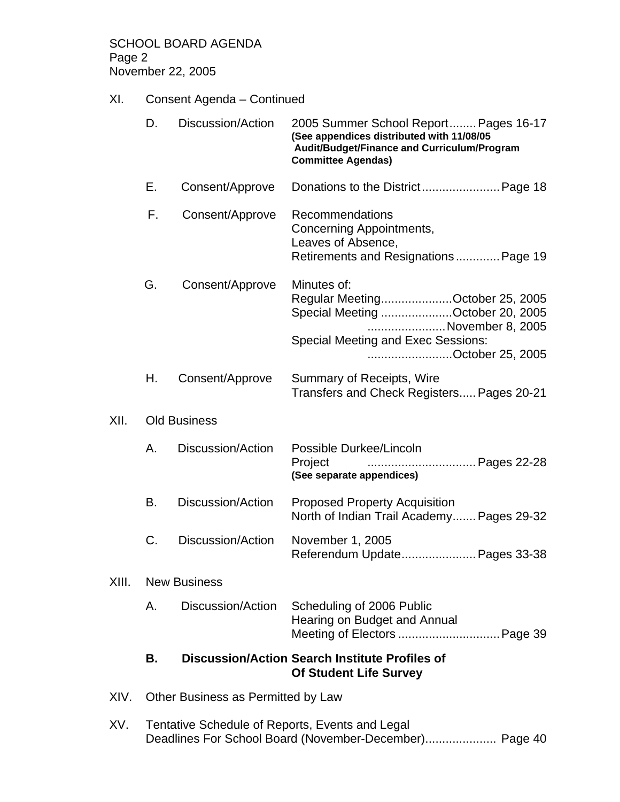SCHOOL BOARD AGENDA Page 2 November 22, 2005

## XI. Consent Agenda – Continued

|       | D.                                 | Discussion/Action        | 2005 Summer School Report Pages 16-17<br>(See appendices distributed with 11/08/05<br>Audit/Budget/Finance and Curriculum/Program<br><b>Committee Agendas)</b>          |
|-------|------------------------------------|--------------------------|-------------------------------------------------------------------------------------------------------------------------------------------------------------------------|
|       | Е.                                 | Consent/Approve          |                                                                                                                                                                         |
|       | F.                                 | Consent/Approve          | Recommendations<br>Concerning Appointments,<br>Leaves of Absence,<br>Retirements and Resignations Page 19                                                               |
|       | G.                                 | Consent/Approve          | Minutes of:<br>Regular MeetingOctober 25, 2005<br>Special Meeting October 20, 2005<br>November 8, 2005<br><b>Special Meeting and Exec Sessions:</b><br>October 25, 2005 |
|       | Н.                                 | Consent/Approve          | Summary of Receipts, Wire<br>Transfers and Check Registers Pages 20-21                                                                                                  |
| XII.  | <b>Old Business</b>                |                          |                                                                                                                                                                         |
|       | А.                                 | Discussion/Action        | Possible Durkee/Lincoln<br>Project<br>(See separate appendices)                                                                                                         |
|       | В.                                 | <b>Discussion/Action</b> | <b>Proposed Property Acquisition</b><br>North of Indian Trail Academy Pages 29-32                                                                                       |
|       | C.                                 | Discussion/Action        | November 1, 2005<br>Referendum Update Pages 33-38                                                                                                                       |
| XIII. | <b>New Business</b>                |                          |                                                                                                                                                                         |
|       | Α.                                 | Discussion/Action        | Scheduling of 2006 Public<br>Hearing on Budget and Annual<br>Meeting of Electors  Page 39                                                                               |
|       | В.                                 |                          | <b>Discussion/Action Search Institute Profiles of</b><br><b>Of Student Life Survey</b>                                                                                  |
| XIV.  | Other Business as Permitted by Law |                          |                                                                                                                                                                         |

XV. Tentative Schedule of Reports, Events and Legal Deadlines For School Board (November-December)..................... Page 40